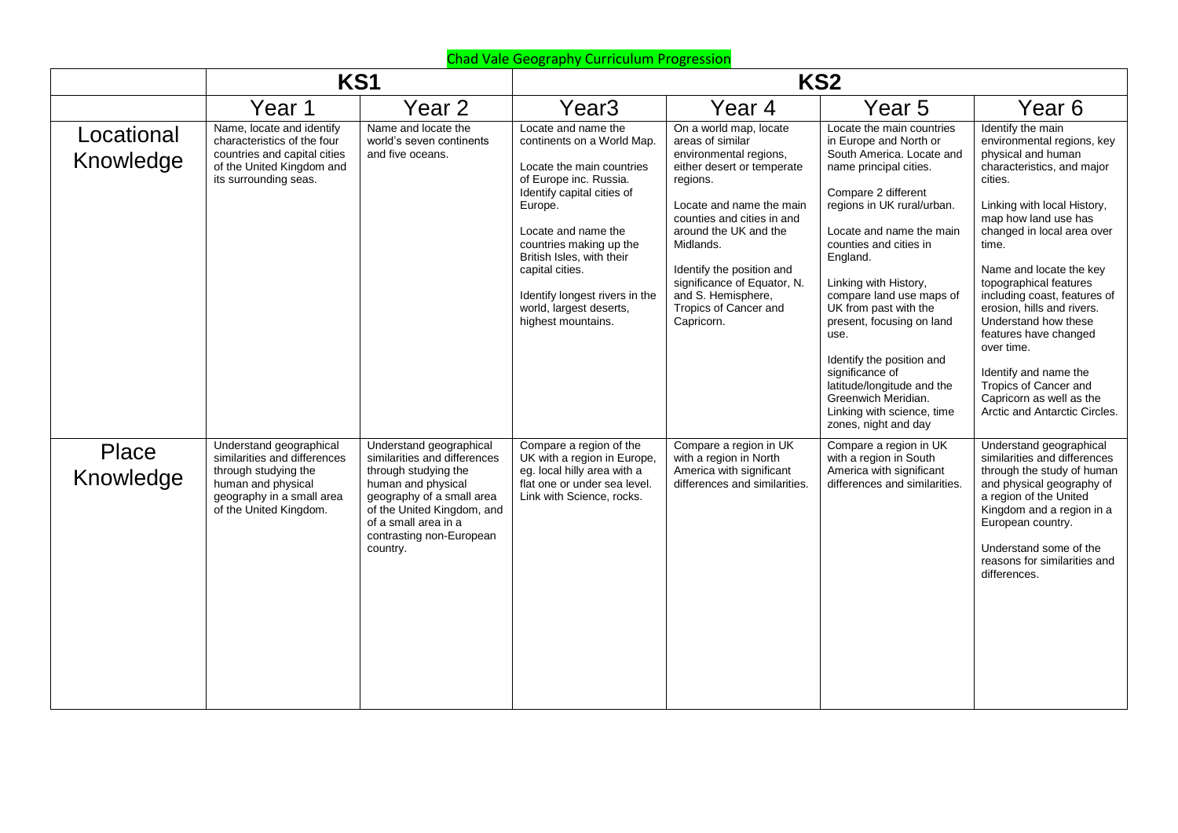|                         | KS1                                                                                                                                                          |                                                                                                                                                                                                                                  | KS <sub>2</sub>                                                                                                                                                                                                                                                                                                                        |                                                                                                                                                                                                                                                                                                                                         |                                                                                                                                                                                                                                                                                                                                                                                                                                                                                                                 |                                                                                                                                                                                                                                                                                                                                                                                                                                                                                                               |  |
|-------------------------|--------------------------------------------------------------------------------------------------------------------------------------------------------------|----------------------------------------------------------------------------------------------------------------------------------------------------------------------------------------------------------------------------------|----------------------------------------------------------------------------------------------------------------------------------------------------------------------------------------------------------------------------------------------------------------------------------------------------------------------------------------|-----------------------------------------------------------------------------------------------------------------------------------------------------------------------------------------------------------------------------------------------------------------------------------------------------------------------------------------|-----------------------------------------------------------------------------------------------------------------------------------------------------------------------------------------------------------------------------------------------------------------------------------------------------------------------------------------------------------------------------------------------------------------------------------------------------------------------------------------------------------------|---------------------------------------------------------------------------------------------------------------------------------------------------------------------------------------------------------------------------------------------------------------------------------------------------------------------------------------------------------------------------------------------------------------------------------------------------------------------------------------------------------------|--|
|                         | Year 1                                                                                                                                                       | Year 2                                                                                                                                                                                                                           | Year <sub>3</sub>                                                                                                                                                                                                                                                                                                                      | Year 4                                                                                                                                                                                                                                                                                                                                  | Year <sub>5</sub>                                                                                                                                                                                                                                                                                                                                                                                                                                                                                               | Year 6                                                                                                                                                                                                                                                                                                                                                                                                                                                                                                        |  |
| Locational<br>Knowledge | Name, locate and identify<br>characteristics of the four<br>countries and capital cities<br>of the United Kingdom and<br>its surrounding seas.               | Name and locate the<br>world's seven continents<br>and five oceans.                                                                                                                                                              | Locate and name the<br>continents on a World Map.<br>Locate the main countries<br>of Europe inc. Russia.<br>Identify capital cities of<br>Europe.<br>Locate and name the<br>countries making up the<br>British Isles, with their<br>capital cities.<br>Identify longest rivers in the<br>world, largest deserts,<br>highest mountains. | On a world map, locate<br>areas of similar<br>environmental regions,<br>either desert or temperate<br>regions.<br>Locate and name the main<br>counties and cities in and<br>around the UK and the<br>Midlands.<br>Identify the position and<br>significance of Equator, N.<br>and S. Hemisphere,<br>Tropics of Cancer and<br>Capricorn. | Locate the main countries<br>in Europe and North or<br>South America. Locate and<br>name principal cities.<br>Compare 2 different<br>regions in UK rural/urban.<br>Locate and name the main<br>counties and cities in<br>England.<br>Linking with History,<br>compare land use maps of<br>UK from past with the<br>present, focusing on land<br>use.<br>Identify the position and<br>significance of<br>latitude/longitude and the<br>Greenwich Meridian.<br>Linking with science, time<br>zones, night and day | Identify the main<br>environmental regions, key<br>physical and human<br>characteristics, and major<br>cities.<br>Linking with local History,<br>map how land use has<br>changed in local area over<br>time.<br>Name and locate the key<br>topographical features<br>including coast, features of<br>erosion, hills and rivers.<br>Understand how these<br>features have changed<br>over time.<br>Identify and name the<br>Tropics of Cancer and<br>Capricorn as well as the<br>Arctic and Antarctic Circles. |  |
| Place<br>Knowledge      | Understand geographical<br>similarities and differences<br>through studying the<br>human and physical<br>geography in a small area<br>of the United Kingdom. | Understand geographical<br>similarities and differences<br>through studying the<br>human and physical<br>geography of a small area<br>of the United Kingdom, and<br>of a small area in a<br>contrasting non-European<br>country. | Compare a region of the<br>UK with a region in Europe,<br>eg. local hilly area with a<br>flat one or under sea level.<br>Link with Science, rocks.                                                                                                                                                                                     | Compare a region in UK<br>with a region in North<br>America with significant<br>differences and similarities.                                                                                                                                                                                                                           | Compare a region in UK<br>with a region in South<br>America with significant<br>differences and similarities.                                                                                                                                                                                                                                                                                                                                                                                                   | Understand geographical<br>similarities and differences<br>through the study of human<br>and physical geography of<br>a region of the United<br>Kingdom and a region in a<br>European country.<br>Understand some of the<br>reasons for similarities and<br>differences.                                                                                                                                                                                                                                      |  |